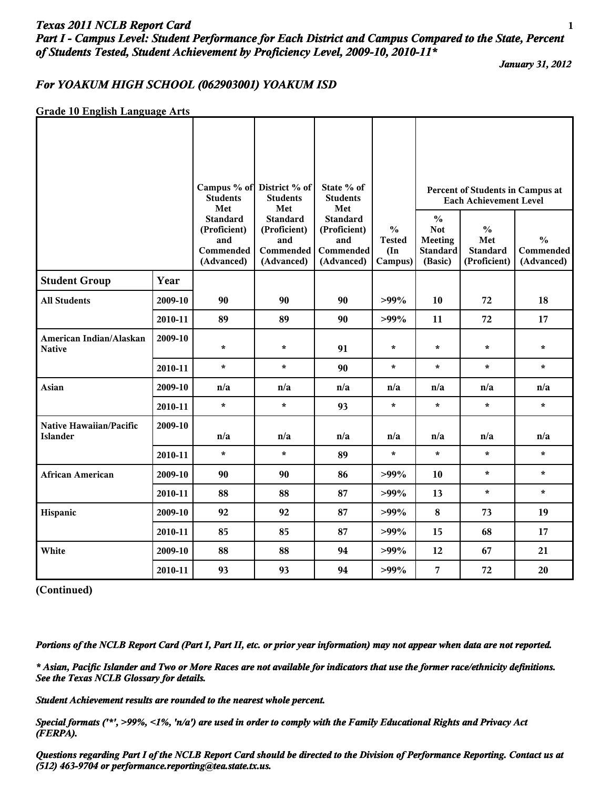## *Texas 2011 NCLB Report Card* **1** *Part I - Campus Level: Student Performance for Each District and Campus Compared to the State, Percent of Students Tested, Student Achievement by Proficiency Level, 2009-10, 2010-11\**

*January 31, 2012*

### *For YOAKUM HIGH SCHOOL (062903001) YOAKUM ISD*

#### **Grade 10 English Language Arts**

|                                            |         | <b>Students</b><br>Met                                            | Campus % of District % of<br><b>Students</b><br>Met               | State % of<br><b>Students</b><br>Met                              |                                                            |                                                                             | Percent of Students in Campus at<br><b>Each Achievement Level</b> |                                                 |
|--------------------------------------------|---------|-------------------------------------------------------------------|-------------------------------------------------------------------|-------------------------------------------------------------------|------------------------------------------------------------|-----------------------------------------------------------------------------|-------------------------------------------------------------------|-------------------------------------------------|
|                                            |         | <b>Standard</b><br>(Proficient)<br>and<br>Commended<br>(Advanced) | <b>Standard</b><br>(Proficient)<br>and<br>Commended<br>(Advanced) | <b>Standard</b><br>(Proficient)<br>and<br>Commended<br>(Advanced) | $\frac{0}{0}$<br><b>Tested</b><br>$(\text{In})$<br>Campus) | $\frac{0}{0}$<br><b>Not</b><br><b>Meeting</b><br><b>Standard</b><br>(Basic) | $\frac{0}{0}$<br>Met<br><b>Standard</b><br>(Proficient)           | $\frac{0}{0}$<br><b>Commended</b><br>(Advanced) |
| <b>Student Group</b>                       | Year    |                                                                   |                                                                   |                                                                   |                                                            |                                                                             |                                                                   |                                                 |
| <b>All Students</b>                        | 2009-10 | 90                                                                | 90                                                                | 90                                                                | $>99\%$                                                    | 10                                                                          | 72                                                                | 18                                              |
|                                            | 2010-11 | 89                                                                | 89                                                                | 90                                                                | $>99\%$                                                    | 11                                                                          | 72                                                                | 17                                              |
| American Indian/Alaskan<br><b>Native</b>   | 2009-10 | $\star$                                                           | $\star$                                                           | 91                                                                | $\star$                                                    | $\star$                                                                     | $\star$                                                           | $\star$                                         |
|                                            | 2010-11 | $\star$                                                           | $\star$                                                           | 90                                                                | $\star$                                                    | $\star$                                                                     | $\star$                                                           | $\star$                                         |
| Asian                                      | 2009-10 | n/a                                                               | n/a                                                               | n/a                                                               | n/a                                                        | n/a                                                                         | n/a                                                               | n/a                                             |
|                                            | 2010-11 | $\star$                                                           | $\star$                                                           | 93                                                                | $\star$                                                    | $\star$                                                                     | $\star$                                                           | $\star$                                         |
| Native Hawaiian/Pacific<br><b>Islander</b> | 2009-10 | n/a                                                               | n/a                                                               | n/a                                                               | n/a                                                        | n/a                                                                         | n/a                                                               | n/a                                             |
|                                            | 2010-11 | $\star$                                                           | $\star$                                                           | 89                                                                | $\star$                                                    | $\star$                                                                     | $\star$                                                           | $\star$                                         |
| <b>African American</b>                    | 2009-10 | 90                                                                | 90                                                                | 86                                                                | $>99\%$                                                    | 10                                                                          | $\star$                                                           | $\star$                                         |
|                                            | 2010-11 | 88                                                                | 88                                                                | 87                                                                | $>99\%$                                                    | 13                                                                          | $\star$                                                           | $\pmb{\star}$                                   |
| Hispanic                                   | 2009-10 | 92                                                                | 92                                                                | 87                                                                | $>99\%$                                                    | $\bf 8$                                                                     | 73                                                                | 19                                              |
|                                            | 2010-11 | 85                                                                | 85                                                                | 87                                                                | $>99\%$                                                    | 15                                                                          | 68                                                                | 17                                              |
| White                                      | 2009-10 | 88                                                                | 88                                                                | 94                                                                | $>99\%$                                                    | 12                                                                          | 67                                                                | 21                                              |
|                                            | 2010-11 | 93                                                                | 93                                                                | 94                                                                | $>99\%$                                                    | 7                                                                           | 72                                                                | 20                                              |

**(Continued)**

*Portions of the NCLB Report Card (Part I, Part II, etc. or prior year information) may not appear when data are not reported.*

*\* Asian, Pacific Islander and Two or More Races are not available for indicators that use the former race/ethnicity definitions. See the Texas NCLB Glossary for details.*

*Student Achievement results are rounded to the nearest whole percent.*

*Special formats ('\*', >99%, <1%, 'n/a') are used in order to comply with the Family Educational Rights and Privacy Act (FERPA).*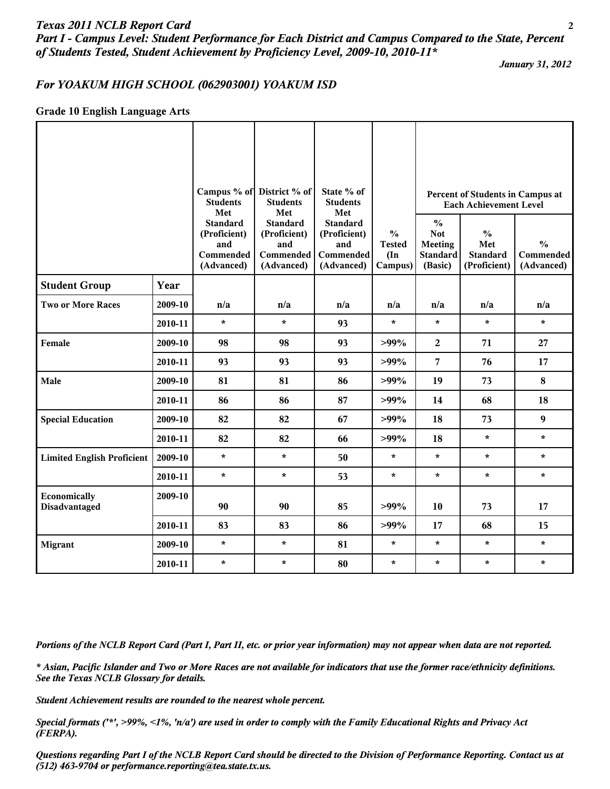### *Texas 2011 NCLB Report Card* **2**

*Part I - Campus Level: Student Performance for Each District and Campus Compared to the State, Percent of Students Tested, Student Achievement by Proficiency Level, 2009-10, 2010-11\**

*January 31, 2012*

#### *For YOAKUM HIGH SCHOOL (062903001) YOAKUM ISD*

#### **Grade 10 English Language Arts**

|                                   |         | <b>Students</b><br>Met<br><b>Standard</b><br>(Proficient)<br>and | Campus % of District % of<br><b>Students</b><br>Met<br><b>Standard</b><br>(Proficient)<br>and | State % of<br><b>Students</b><br>Met<br><b>Standard</b><br>(Proficient)<br>and | $\frac{0}{0}$<br><b>Tested</b> | $\frac{0}{0}$<br><b>Not</b><br><b>Meeting</b> | Percent of Students in Campus at<br><b>Each Achievement Level</b><br>$\frac{0}{0}$<br>Met | $\frac{0}{0}$           |
|-----------------------------------|---------|------------------------------------------------------------------|-----------------------------------------------------------------------------------------------|--------------------------------------------------------------------------------|--------------------------------|-----------------------------------------------|-------------------------------------------------------------------------------------------|-------------------------|
|                                   |         | Commended<br>(Advanced)                                          | Commended<br>(Advanced)                                                                       | Commended<br>(Advanced)                                                        | $(\text{In})$<br>Campus)       | <b>Standard</b><br>(Basic)                    | <b>Standard</b><br>(Proficient)                                                           | Commended<br>(Advanced) |
| <b>Student Group</b>              | Year    |                                                                  |                                                                                               |                                                                                |                                |                                               |                                                                                           |                         |
| <b>Two or More Races</b>          | 2009-10 | n/a                                                              | n/a                                                                                           | n/a                                                                            | n/a                            | n/a                                           | n/a                                                                                       | n/a                     |
|                                   | 2010-11 | $\star$                                                          | $\star$                                                                                       | 93                                                                             | $\star$                        | $\star$                                       | $\star$                                                                                   | $\star$                 |
| Female                            | 2009-10 | 98                                                               | 98                                                                                            | 93                                                                             | $>99\%$                        | $\overline{2}$                                | 71                                                                                        | 27                      |
|                                   | 2010-11 | 93                                                               | 93                                                                                            | 93                                                                             | $>99\%$                        | $\overline{7}$                                | 76                                                                                        | 17                      |
| Male                              | 2009-10 | 81                                                               | 81                                                                                            | 86                                                                             | $>99\%$                        | 19                                            | 73                                                                                        | 8                       |
|                                   | 2010-11 | 86                                                               | 86                                                                                            | 87                                                                             | $>99\%$                        | 14                                            | 68                                                                                        | 18                      |
| <b>Special Education</b>          | 2009-10 | 82                                                               | 82                                                                                            | 67                                                                             | $>99\%$                        | 18                                            | 73                                                                                        | 9                       |
|                                   | 2010-11 | 82                                                               | 82                                                                                            | 66                                                                             | $>99\%$                        | 18                                            | $\star$                                                                                   | $\star$                 |
| <b>Limited English Proficient</b> | 2009-10 | $\star$                                                          | $\star$                                                                                       | 50                                                                             | $\star$                        | $\star$                                       | $\star$                                                                                   | $\star$                 |
|                                   | 2010-11 | $\star$                                                          | $\star$                                                                                       | 53                                                                             | $\star$                        | $\star$                                       | $\star$                                                                                   | $\star$                 |
| Economically<br>Disadvantaged     | 2009-10 | 90                                                               | 90                                                                                            | 85                                                                             | $>99\%$                        | 10                                            | 73                                                                                        | 17                      |
|                                   | 2010-11 | 83                                                               | 83                                                                                            | 86                                                                             | $>99\%$                        | 17                                            | 68                                                                                        | 15                      |
| <b>Migrant</b>                    | 2009-10 | $\star$                                                          | $\star$                                                                                       | 81                                                                             | $\star$                        | $\star$                                       | $\star$                                                                                   | $\star$                 |
|                                   | 2010-11 | $\star$                                                          | $\star$                                                                                       | 80                                                                             | $\star$                        | $\star$                                       | $\star$                                                                                   | $\star$                 |

*Portions of the NCLB Report Card (Part I, Part II, etc. or prior year information) may not appear when data are not reported.*

*\* Asian, Pacific Islander and Two or More Races are not available for indicators that use the former race/ethnicity definitions. See the Texas NCLB Glossary for details.*

*Student Achievement results are rounded to the nearest whole percent.*

*Special formats ('\*', >99%, <1%, 'n/a') are used in order to comply with the Family Educational Rights and Privacy Act (FERPA).*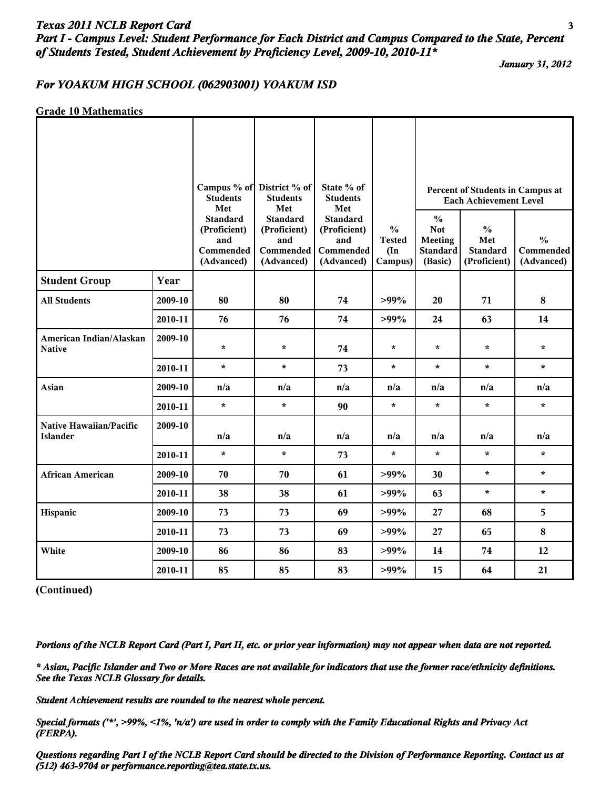## *Texas 2011 NCLB Report Card* **3** *Part I - Campus Level: Student Performance for Each District and Campus Compared to the State, Percent of Students Tested, Student Achievement by Proficiency Level, 2009-10, 2010-11\**

*January 31, 2012*

#### *For YOAKUM HIGH SCHOOL (062903001) YOAKUM ISD*

#### **Grade 10 Mathematics**

|                                            |         | <b>Students</b><br>Met                                            | Campus % of District % of<br><b>Students</b><br>Met               | State % of<br><b>Students</b><br>Met                              |                                                            |                                                                             | Percent of Students in Campus at<br><b>Each Achievement Level</b> |                                                 |
|--------------------------------------------|---------|-------------------------------------------------------------------|-------------------------------------------------------------------|-------------------------------------------------------------------|------------------------------------------------------------|-----------------------------------------------------------------------------|-------------------------------------------------------------------|-------------------------------------------------|
|                                            |         | <b>Standard</b><br>(Proficient)<br>and<br>Commended<br>(Advanced) | <b>Standard</b><br>(Proficient)<br>and<br>Commended<br>(Advanced) | <b>Standard</b><br>(Proficient)<br>and<br>Commended<br>(Advanced) | $\frac{0}{0}$<br><b>Tested</b><br>$(\text{In})$<br>Campus) | $\frac{0}{0}$<br><b>Not</b><br><b>Meeting</b><br><b>Standard</b><br>(Basic) | $\frac{0}{0}$<br>Met<br><b>Standard</b><br>(Proficient)           | $\frac{0}{0}$<br><b>Commended</b><br>(Advanced) |
| <b>Student Group</b>                       | Year    |                                                                   |                                                                   |                                                                   |                                                            |                                                                             |                                                                   |                                                 |
| <b>All Students</b>                        | 2009-10 | 80                                                                | 80                                                                | 74                                                                | $>99\%$                                                    | 20                                                                          | 71                                                                | 8                                               |
|                                            | 2010-11 | 76                                                                | 76                                                                | 74                                                                | $>99\%$                                                    | 24                                                                          | 63                                                                | 14                                              |
| American Indian/Alaskan<br><b>Native</b>   | 2009-10 | $\star$                                                           | $\star$                                                           | 74                                                                | $\star$                                                    | $\star$                                                                     | $\star$                                                           | $\star$                                         |
|                                            | 2010-11 | $\star$                                                           | $\star$                                                           | 73                                                                | $\star$                                                    | $\star$                                                                     | $\star$                                                           | $\star$                                         |
| Asian                                      | 2009-10 | n/a                                                               | n/a                                                               | n/a                                                               | n/a                                                        | n/a                                                                         | n/a                                                               | n/a                                             |
|                                            | 2010-11 | $\star$                                                           | $\star$                                                           | 90                                                                | $\star$                                                    | $\star$                                                                     | $\star$                                                           | $\star$                                         |
| Native Hawaiian/Pacific<br><b>Islander</b> | 2009-10 | n/a                                                               | n/a                                                               | n/a                                                               | n/a                                                        | n/a                                                                         | n/a                                                               | n/a                                             |
|                                            | 2010-11 | $\star$                                                           | $\star$                                                           | 73                                                                | $\star$                                                    | $\star$                                                                     | $\star$                                                           | $\star$                                         |
| <b>African American</b>                    | 2009-10 | 70                                                                | 70                                                                | 61                                                                | $>99\%$                                                    | 30                                                                          | $\star$                                                           | $\star$                                         |
|                                            | 2010-11 | 38                                                                | 38                                                                | 61                                                                | $>99\%$                                                    | 63                                                                          | $\star$                                                           | $\star$                                         |
| Hispanic                                   | 2009-10 | 73                                                                | 73                                                                | 69                                                                | $>99\%$                                                    | 27                                                                          | 68                                                                | 5                                               |
|                                            | 2010-11 | 73                                                                | 73                                                                | 69                                                                | $>99\%$                                                    | 27                                                                          | 65                                                                | 8                                               |
| White                                      | 2009-10 | 86                                                                | 86                                                                | 83                                                                | $>99\%$                                                    | 14                                                                          | 74                                                                | 12                                              |
|                                            | 2010-11 | 85                                                                | 85                                                                | 83                                                                | $>99\%$                                                    | 15                                                                          | 64                                                                | 21                                              |

**(Continued)**

*Portions of the NCLB Report Card (Part I, Part II, etc. or prior year information) may not appear when data are not reported.*

*\* Asian, Pacific Islander and Two or More Races are not available for indicators that use the former race/ethnicity definitions. See the Texas NCLB Glossary for details.*

*Student Achievement results are rounded to the nearest whole percent.*

*Special formats ('\*', >99%, <1%, 'n/a') are used in order to comply with the Family Educational Rights and Privacy Act (FERPA).*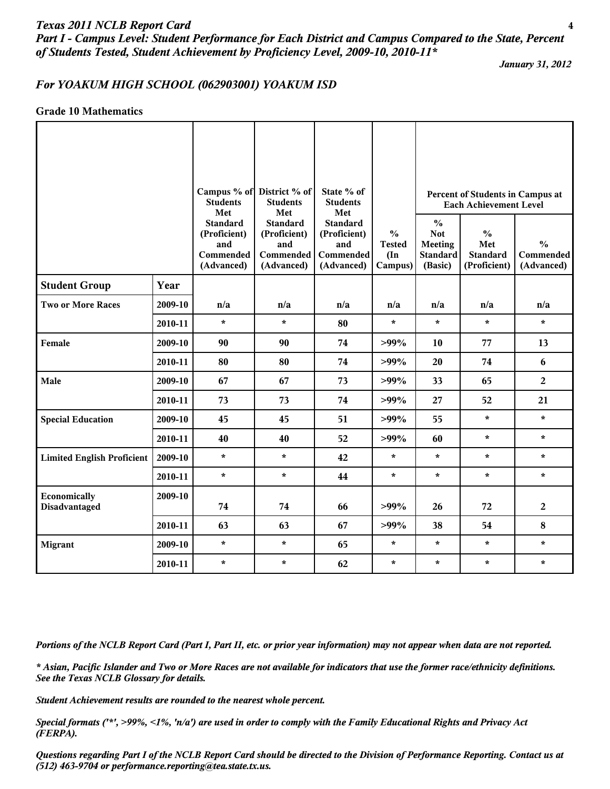#### *Texas 2011 NCLB Report Card* **4**

*Part I - Campus Level: Student Performance for Each District and Campus Compared to the State, Percent of Students Tested, Student Achievement by Proficiency Level, 2009-10, 2010-11\**

*January 31, 2012*

#### *For YOAKUM HIGH SCHOOL (062903001) YOAKUM ISD*

#### **Grade 10 Mathematics**

|                                   |         | <b>Students</b><br>Met<br><b>Standard</b><br>(Proficient)<br>and<br>Commended<br>(Advanced) | Campus % of District % of<br><b>Students</b><br>Met<br><b>Standard</b><br>(Proficient)<br>and<br><b>Commended</b><br>(Advanced) | State % of<br><b>Students</b><br>Met<br><b>Standard</b><br>(Proficient)<br>and<br>Commended<br>(Advanced) | $\frac{0}{0}$<br><b>Tested</b><br>$(\text{In})$<br>Campus) | $\frac{0}{0}$<br><b>Not</b><br><b>Meeting</b><br><b>Standard</b><br>(Basic) | Percent of Students in Campus at<br><b>Each Achievement Level</b><br>$\frac{0}{0}$<br>Met<br><b>Standard</b><br>(Proficient) | $\frac{0}{0}$<br>Commended<br>(Advanced) |
|-----------------------------------|---------|---------------------------------------------------------------------------------------------|---------------------------------------------------------------------------------------------------------------------------------|-----------------------------------------------------------------------------------------------------------|------------------------------------------------------------|-----------------------------------------------------------------------------|------------------------------------------------------------------------------------------------------------------------------|------------------------------------------|
| <b>Student Group</b>              | Year    |                                                                                             |                                                                                                                                 |                                                                                                           |                                                            |                                                                             |                                                                                                                              |                                          |
| <b>Two or More Races</b>          | 2009-10 | n/a                                                                                         | n/a                                                                                                                             | n/a                                                                                                       | n/a                                                        | n/a                                                                         | n/a                                                                                                                          | n/a                                      |
|                                   | 2010-11 | $\star$                                                                                     | $\star$                                                                                                                         | 80                                                                                                        | $\star$                                                    | $\star$                                                                     | $\star$                                                                                                                      | $\star$                                  |
| Female                            | 2009-10 | 90                                                                                          | 90                                                                                                                              | 74                                                                                                        | $>99\%$                                                    | 10                                                                          | 77                                                                                                                           | 13                                       |
|                                   | 2010-11 | 80                                                                                          | 80                                                                                                                              | 74                                                                                                        | $>99\%$                                                    | 20                                                                          | 74                                                                                                                           | 6                                        |
| Male                              | 2009-10 | 67                                                                                          | 67                                                                                                                              | 73                                                                                                        | $>99\%$                                                    | 33                                                                          | 65                                                                                                                           | $\overline{2}$                           |
|                                   | 2010-11 | 73                                                                                          | 73                                                                                                                              | 74                                                                                                        | $>99\%$                                                    | 27                                                                          | 52                                                                                                                           | 21                                       |
| <b>Special Education</b>          | 2009-10 | 45                                                                                          | 45                                                                                                                              | 51                                                                                                        | $>99\%$                                                    | 55                                                                          | $\star$                                                                                                                      | $\star$                                  |
|                                   | 2010-11 | 40                                                                                          | 40                                                                                                                              | 52                                                                                                        | $>99\%$                                                    | 60                                                                          | $\star$                                                                                                                      | $\star$                                  |
| <b>Limited English Proficient</b> | 2009-10 | $\star$                                                                                     | $\star$                                                                                                                         | 42                                                                                                        | $\star$                                                    | $\star$                                                                     | $\star$                                                                                                                      | $\star$                                  |
|                                   | 2010-11 | $\star$                                                                                     | $\star$                                                                                                                         | 44                                                                                                        | $\star$                                                    | $\star$                                                                     | $\star$                                                                                                                      | $\star$                                  |
| Economically<br>Disadvantaged     | 2009-10 | 74                                                                                          | 74                                                                                                                              | 66                                                                                                        | $>99\%$                                                    | 26                                                                          | 72                                                                                                                           | $\overline{c}$                           |
|                                   | 2010-11 | 63                                                                                          | 63                                                                                                                              | 67                                                                                                        | $>99\%$                                                    | 38                                                                          | 54                                                                                                                           | 8                                        |
| <b>Migrant</b>                    | 2009-10 | $\star$                                                                                     | $\star$                                                                                                                         | 65                                                                                                        | $\star$                                                    | $\star$                                                                     | $\star$                                                                                                                      | $\star$                                  |
|                                   | 2010-11 | $\star$                                                                                     | $\star$                                                                                                                         | 62                                                                                                        | $\star$                                                    | $\star$                                                                     | $\star$                                                                                                                      | $\star$                                  |

*Portions of the NCLB Report Card (Part I, Part II, etc. or prior year information) may not appear when data are not reported.*

*\* Asian, Pacific Islander and Two or More Races are not available for indicators that use the former race/ethnicity definitions. See the Texas NCLB Glossary for details.*

*Student Achievement results are rounded to the nearest whole percent.*

*Special formats ('\*', >99%, <1%, 'n/a') are used in order to comply with the Family Educational Rights and Privacy Act (FERPA).*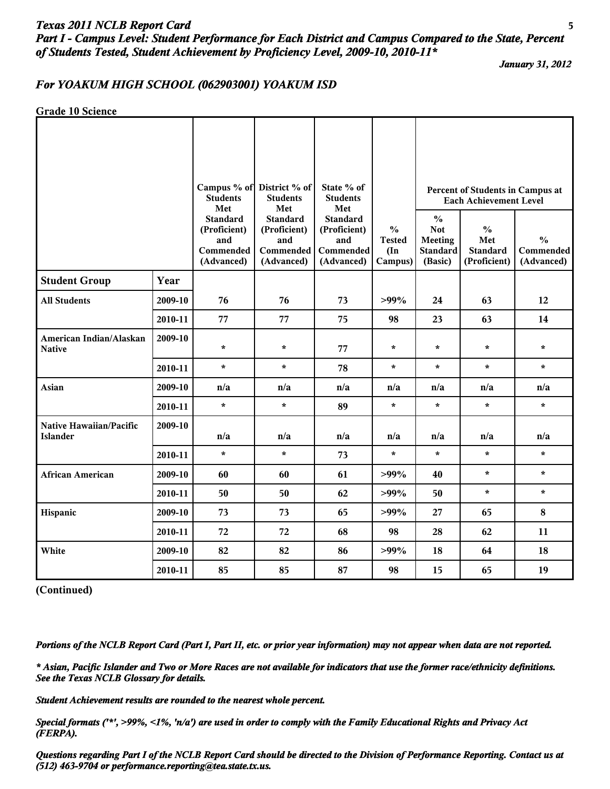# *Texas 2011 NCLB Report Card* **5** *Part I - Campus Level: Student Performance for Each District and Campus Compared to the State, Percent of Students Tested, Student Achievement by Proficiency Level, 2009-10, 2010-11\**

*January 31, 2012*

#### *For YOAKUM HIGH SCHOOL (062903001) YOAKUM ISD*

**Grade 10 Science**

|                                            |         | Campus % of<br><b>Students</b><br>Met                             | District % of<br><b>Students</b><br>Met                           | State % of<br><b>Students</b><br>Met                              |                                                            |                                                                             | Percent of Students in Campus at<br><b>Each Achievement Level</b> |                                          |
|--------------------------------------------|---------|-------------------------------------------------------------------|-------------------------------------------------------------------|-------------------------------------------------------------------|------------------------------------------------------------|-----------------------------------------------------------------------------|-------------------------------------------------------------------|------------------------------------------|
|                                            |         | <b>Standard</b><br>(Proficient)<br>and<br>Commended<br>(Advanced) | <b>Standard</b><br>(Proficient)<br>and<br>Commended<br>(Advanced) | <b>Standard</b><br>(Proficient)<br>and<br>Commended<br>(Advanced) | $\frac{0}{0}$<br><b>Tested</b><br>$(\text{In})$<br>Campus) | $\frac{0}{0}$<br><b>Not</b><br><b>Meeting</b><br><b>Standard</b><br>(Basic) | $\frac{0}{0}$<br>Met<br><b>Standard</b><br>(Proficient)           | $\frac{0}{0}$<br>Commended<br>(Advanced) |
| <b>Student Group</b>                       | Year    |                                                                   |                                                                   |                                                                   |                                                            |                                                                             |                                                                   |                                          |
| <b>All Students</b>                        | 2009-10 | 76                                                                | 76                                                                | 73                                                                | $>99\%$                                                    | 24                                                                          | 63                                                                | 12                                       |
|                                            | 2010-11 | 77                                                                | 77                                                                | 75                                                                | 98                                                         | 23                                                                          | 63                                                                | 14                                       |
| American Indian/Alaskan<br><b>Native</b>   | 2009-10 | $\star$                                                           | $\star$                                                           | 77                                                                | $\star$                                                    | $\star$                                                                     | $\star$                                                           | $\star$                                  |
|                                            | 2010-11 | $\star$                                                           | $\star$                                                           | 78                                                                | $\star$                                                    | $\star$                                                                     | $\star$                                                           | $\star$                                  |
| Asian                                      | 2009-10 | n/a                                                               | n/a                                                               | n/a                                                               | n/a                                                        | n/a                                                                         | n/a                                                               | n/a                                      |
|                                            | 2010-11 | $\star$                                                           | $\star$                                                           | 89                                                                | $\star$                                                    | $\star$                                                                     | $\star$                                                           | $\star$                                  |
| Native Hawaiian/Pacific<br><b>Islander</b> | 2009-10 | n/a                                                               | n/a                                                               | n/a                                                               | n/a                                                        | n/a                                                                         | n/a                                                               | n/a                                      |
|                                            | 2010-11 | $\star$                                                           | $\star$                                                           | 73                                                                | $\star$                                                    | $\star$                                                                     | $\star$                                                           | $\star$                                  |
| <b>African American</b>                    | 2009-10 | 60                                                                | 60                                                                | 61                                                                | $>99\%$                                                    | 40                                                                          | $\star$                                                           | $\star$                                  |
|                                            | 2010-11 | 50                                                                | 50                                                                | 62                                                                | $>99\%$                                                    | 50                                                                          | $\star$                                                           | $\star$                                  |
| Hispanic                                   | 2009-10 | 73                                                                | 73                                                                | 65                                                                | $>99\%$                                                    | 27                                                                          | 65                                                                | 8                                        |
|                                            | 2010-11 | 72                                                                | 72                                                                | 68                                                                | 98                                                         | 28                                                                          | 62                                                                | 11                                       |
| White                                      | 2009-10 | 82                                                                | 82                                                                | 86                                                                | $>99\%$                                                    | 18                                                                          | 64                                                                | 18                                       |
|                                            | 2010-11 | 85                                                                | 85                                                                | 87                                                                | 98                                                         | 15                                                                          | 65                                                                | 19                                       |

**(Continued)**

*Portions of the NCLB Report Card (Part I, Part II, etc. or prior year information) may not appear when data are not reported.*

*\* Asian, Pacific Islander and Two or More Races are not available for indicators that use the former race/ethnicity definitions. See the Texas NCLB Glossary for details.*

*Student Achievement results are rounded to the nearest whole percent.*

*Special formats ('\*', >99%, <1%, 'n/a') are used in order to comply with the Family Educational Rights and Privacy Act (FERPA).*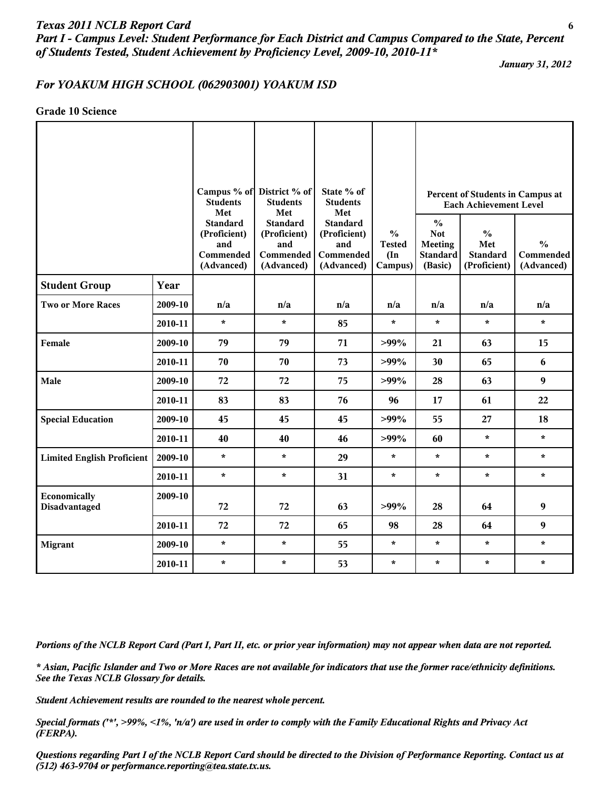#### *Texas 2011 NCLB Report Card* **6**

*Part I - Campus Level: Student Performance for Each District and Campus Compared to the State, Percent of Students Tested, Student Achievement by Proficiency Level, 2009-10, 2010-11\**

*January 31, 2012*

#### *For YOAKUM HIGH SCHOOL (062903001) YOAKUM ISD*

**Grade 10 Science**

|                                   |         | <b>Students</b><br>Met                                            | Campus % of District % of<br><b>Students</b><br>Met               | State % of<br><b>Students</b><br>Met                              |                                                            |                                                                             | Percent of Students in Campus at<br><b>Each Achievement Level</b> |                                                 |
|-----------------------------------|---------|-------------------------------------------------------------------|-------------------------------------------------------------------|-------------------------------------------------------------------|------------------------------------------------------------|-----------------------------------------------------------------------------|-------------------------------------------------------------------|-------------------------------------------------|
|                                   |         | <b>Standard</b><br>(Proficient)<br>and<br>Commended<br>(Advanced) | <b>Standard</b><br>(Proficient)<br>and<br>Commended<br>(Advanced) | <b>Standard</b><br>(Proficient)<br>and<br>Commended<br>(Advanced) | $\frac{0}{0}$<br><b>Tested</b><br>$(\text{In})$<br>Campus) | $\frac{0}{0}$<br><b>Not</b><br><b>Meeting</b><br><b>Standard</b><br>(Basic) | $\frac{0}{0}$<br>Met<br><b>Standard</b><br>(Proficient)           | $\frac{0}{0}$<br><b>Commended</b><br>(Advanced) |
| <b>Student Group</b>              | Year    |                                                                   |                                                                   |                                                                   |                                                            |                                                                             |                                                                   |                                                 |
| <b>Two or More Races</b>          | 2009-10 | n/a                                                               | n/a                                                               | n/a                                                               | n/a                                                        | n/a                                                                         | n/a                                                               | n/a                                             |
|                                   | 2010-11 | $\star$                                                           | $\star$                                                           | 85                                                                | $\star$                                                    | $\star$                                                                     | $\star$                                                           | $\star$                                         |
| Female                            | 2009-10 | 79                                                                | 79                                                                | 71                                                                | $>99\%$                                                    | 21                                                                          | 63                                                                | 15                                              |
|                                   | 2010-11 | 70                                                                | 70                                                                | 73                                                                | $>99\%$                                                    | 30                                                                          | 65                                                                | 6                                               |
| Male                              | 2009-10 | 72                                                                | 72                                                                | 75                                                                | $>99\%$                                                    | 28                                                                          | 63                                                                | $\boldsymbol{9}$                                |
|                                   | 2010-11 | 83                                                                | 83                                                                | 76                                                                | 96                                                         | 17                                                                          | 61                                                                | 22                                              |
| <b>Special Education</b>          | 2009-10 | 45                                                                | 45                                                                | 45                                                                | $>99\%$                                                    | 55                                                                          | 27                                                                | 18                                              |
|                                   | 2010-11 | 40                                                                | 40                                                                | 46                                                                | $>99\%$                                                    | 60                                                                          | $\star$                                                           | $\star$                                         |
| <b>Limited English Proficient</b> | 2009-10 | $\star$                                                           | $\star$                                                           | 29                                                                | $\star$                                                    | $\star$                                                                     | $\star$                                                           | $\star$                                         |
|                                   | 2010-11 | $\star$                                                           | $\star$                                                           | 31                                                                | $\star$                                                    | $\star$                                                                     | $\star$                                                           | $\star$                                         |
| Economically<br>Disadvantaged     | 2009-10 | 72                                                                | 72                                                                | 63                                                                | $>99\%$                                                    | 28                                                                          | 64                                                                | $\boldsymbol{9}$                                |
|                                   | 2010-11 | 72                                                                | 72                                                                | 65                                                                | 98                                                         | 28                                                                          | 64                                                                | $\boldsymbol{9}$                                |
| <b>Migrant</b>                    | 2009-10 | $\star$                                                           | $\star$                                                           | 55                                                                | $\star$                                                    | $\star$                                                                     | $\star$                                                           | $\pmb{\star}$                                   |
|                                   | 2010-11 | $\star$                                                           | $\star$                                                           | 53                                                                | $\star$                                                    | $\star$                                                                     | $\star$                                                           | $\star$                                         |

*Portions of the NCLB Report Card (Part I, Part II, etc. or prior year information) may not appear when data are not reported.*

*\* Asian, Pacific Islander and Two or More Races are not available for indicators that use the former race/ethnicity definitions. See the Texas NCLB Glossary for details.*

*Student Achievement results are rounded to the nearest whole percent.*

*Special formats ('\*', >99%, <1%, 'n/a') are used in order to comply with the Family Educational Rights and Privacy Act (FERPA).*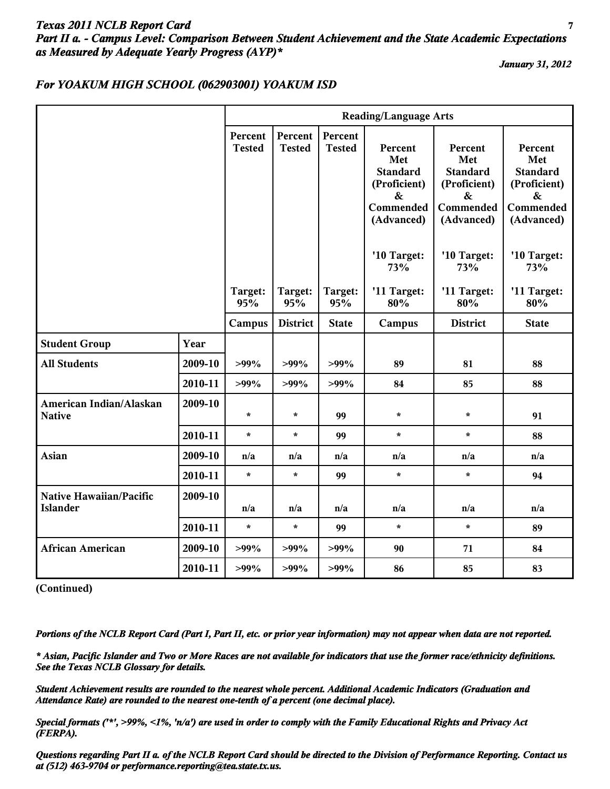# *Texas 2011 NCLB Report Card* **7** *Part II a. - Campus Level: Comparison Between Student Achievement and the State Academic Expectations as Measured by Adequate Yearly Progress (AYP)\**

*January 31, 2012*

### *For YOAKUM HIGH SCHOOL (062903001) YOAKUM ISD*

|                                            |         |                          |                          |                          | <b>Reading/Language Arts</b>                                                      |                                                                                   |                                                                                   |
|--------------------------------------------|---------|--------------------------|--------------------------|--------------------------|-----------------------------------------------------------------------------------|-----------------------------------------------------------------------------------|-----------------------------------------------------------------------------------|
|                                            |         | Percent<br><b>Tested</b> | Percent<br><b>Tested</b> | Percent<br><b>Tested</b> | Percent<br>Met<br><b>Standard</b><br>(Proficient)<br>&<br>Commended<br>(Advanced) | Percent<br>Met<br><b>Standard</b><br>(Proficient)<br>&<br>Commended<br>(Advanced) | Percent<br>Met<br><b>Standard</b><br>(Proficient)<br>&<br>Commended<br>(Advanced) |
|                                            |         |                          |                          |                          | '10 Target:<br>73%                                                                | '10 Target:<br>73%                                                                | '10 Target:<br>73%                                                                |
|                                            |         | Target:<br>95%           | Target:<br>95%           | Target:<br>95%           | '11 Target:<br>80%                                                                | '11 Target:<br>80%                                                                | '11 Target:<br>80%                                                                |
|                                            |         | Campus                   | <b>District</b>          | <b>State</b>             | Campus                                                                            | <b>District</b>                                                                   | <b>State</b>                                                                      |
| <b>Student Group</b>                       | Year    |                          |                          |                          |                                                                                   |                                                                                   |                                                                                   |
| <b>All Students</b>                        | 2009-10 | $>99\%$                  | $>99\%$                  | $>99\%$                  | 89                                                                                | 81                                                                                | 88                                                                                |
|                                            | 2010-11 | $>99\%$                  | $>99\%$                  | $>99\%$                  | 84                                                                                | 85                                                                                | 88                                                                                |
| American Indian/Alaskan<br><b>Native</b>   | 2009-10 | $\star$                  | $\star$                  | 99                       | $\star$                                                                           | $\star$                                                                           | 91                                                                                |
|                                            | 2010-11 | $\star$                  | $\star$                  | 99                       | $\star$                                                                           | $\star$                                                                           | 88                                                                                |
| <b>Asian</b>                               | 2009-10 | n/a                      | n/a                      | n/a                      | n/a                                                                               | n/a                                                                               | n/a                                                                               |
|                                            | 2010-11 | $\star$                  | $\star$                  | 99                       | $\star$                                                                           | $\star$                                                                           | 94                                                                                |
| Native Hawaiian/Pacific<br><b>Islander</b> | 2009-10 | n/a                      | n/a                      | n/a                      | n/a                                                                               | n/a                                                                               | n/a                                                                               |
|                                            | 2010-11 | $\star$                  | $\star$                  | 99                       | $\star$                                                                           | $\star$                                                                           | 89                                                                                |
| <b>African American</b>                    | 2009-10 | $>99\%$                  | $>99\%$                  | $>99\%$                  | 90                                                                                | 71                                                                                | 84                                                                                |
|                                            | 2010-11 | $>99\%$                  | $>99\%$                  | $>99\%$                  | 86                                                                                | 85                                                                                | 83                                                                                |

**(Continued)**

*Portions of the NCLB Report Card (Part I, Part II, etc. or prior year information) may not appear when data are not reported.*

*\* Asian, Pacific Islander and Two or More Races are not available for indicators that use the former race/ethnicity definitions. See the Texas NCLB Glossary for details.*

*Student Achievement results are rounded to the nearest whole percent. Additional Academic Indicators (Graduation and Attendance Rate) are rounded to the nearest one-tenth of a percent (one decimal place).*

*Special formats ('\*', >99%, <1%, 'n/a') are used in order to comply with the Family Educational Rights and Privacy Act (FERPA).*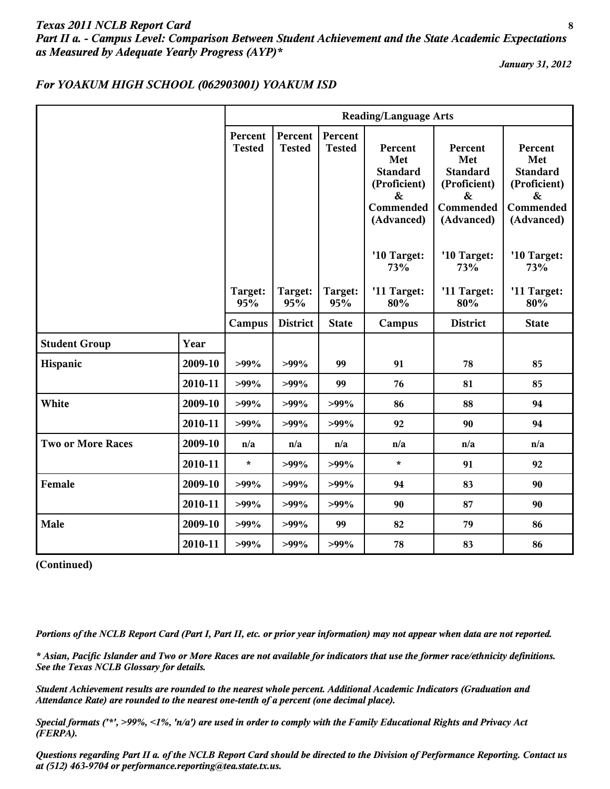# *Texas 2011 NCLB Report Card* **8** *Part II a. - Campus Level: Comparison Between Student Achievement and the State Academic Expectations as Measured by Adequate Yearly Progress (AYP)\**

*January 31, 2012*

## *For YOAKUM HIGH SCHOOL (062903001) YOAKUM ISD*

|                          |         |                          | <b>Reading/Language Arts</b> |                          |                                                                                   |                                                                                      |                                                                                                   |  |  |  |  |  |
|--------------------------|---------|--------------------------|------------------------------|--------------------------|-----------------------------------------------------------------------------------|--------------------------------------------------------------------------------------|---------------------------------------------------------------------------------------------------|--|--|--|--|--|
|                          |         | Percent<br><b>Tested</b> | Percent<br><b>Tested</b>     | Percent<br><b>Tested</b> | Percent<br>Met<br><b>Standard</b><br>(Proficient)<br>&<br>Commended<br>(Advanced) | Percent<br>Met<br><b>Standard</b><br>(Proficient)<br>$\&$<br>Commended<br>(Advanced) | Percent<br>Met<br><b>Standard</b><br>(Proficient)<br>$\boldsymbol{\&}$<br>Commended<br>(Advanced) |  |  |  |  |  |
|                          |         |                          |                              |                          | '10 Target:<br>73%                                                                | '10 Target:<br>73%                                                                   | '10 Target:<br>73%                                                                                |  |  |  |  |  |
|                          |         | Target:<br>95%           | Target:<br>95%               | Target:<br>95%           | '11 Target:<br>80%                                                                | '11 Target:<br>80%                                                                   | '11 Target:<br>80%                                                                                |  |  |  |  |  |
|                          |         | Campus                   | <b>District</b>              | <b>State</b>             | Campus                                                                            | <b>District</b>                                                                      | <b>State</b>                                                                                      |  |  |  |  |  |
| <b>Student Group</b>     | Year    |                          |                              |                          |                                                                                   |                                                                                      |                                                                                                   |  |  |  |  |  |
| Hispanic                 | 2009-10 | $>99\%$                  | $>99\%$                      | 99                       | 91                                                                                | 78                                                                                   | 85                                                                                                |  |  |  |  |  |
|                          | 2010-11 | $>99\%$                  | $>99\%$                      | 99                       | 76                                                                                | 81                                                                                   | 85                                                                                                |  |  |  |  |  |
| White                    | 2009-10 | $>99\%$                  | $>99\%$                      | $>99\%$                  | 86                                                                                | 88                                                                                   | 94                                                                                                |  |  |  |  |  |
|                          | 2010-11 | $>99\%$                  | $>99\%$                      | $>99\%$                  | 92                                                                                | 90                                                                                   | 94                                                                                                |  |  |  |  |  |
| <b>Two or More Races</b> | 2009-10 | n/a                      | n/a                          | n/a                      | n/a                                                                               | n/a                                                                                  | n/a                                                                                               |  |  |  |  |  |
|                          | 2010-11 | $\star$                  | $>99\%$                      | $>99\%$                  | $\star$                                                                           | 91                                                                                   | 92                                                                                                |  |  |  |  |  |
| Female                   | 2009-10 | $>99\%$                  | $>99\%$                      | $>99\%$                  | 94                                                                                | 83                                                                                   | 90                                                                                                |  |  |  |  |  |
|                          | 2010-11 | $>99\%$                  | $>99\%$                      | $>99\%$                  | 90                                                                                | 87                                                                                   | 90                                                                                                |  |  |  |  |  |
| Male                     | 2009-10 | $>99\%$                  | $>99\%$                      | 99                       | 82                                                                                | 79                                                                                   | 86                                                                                                |  |  |  |  |  |
|                          | 2010-11 | $>99\%$                  | $>99\%$                      | $>99\%$                  | 78                                                                                | 83                                                                                   | 86                                                                                                |  |  |  |  |  |

**(Continued)**

*Portions of the NCLB Report Card (Part I, Part II, etc. or prior year information) may not appear when data are not reported.*

*\* Asian, Pacific Islander and Two or More Races are not available for indicators that use the former race/ethnicity definitions. See the Texas NCLB Glossary for details.*

*Student Achievement results are rounded to the nearest whole percent. Additional Academic Indicators (Graduation and Attendance Rate) are rounded to the nearest one-tenth of a percent (one decimal place).*

*Special formats ('\*', >99%, <1%, 'n/a') are used in order to comply with the Family Educational Rights and Privacy Act (FERPA).*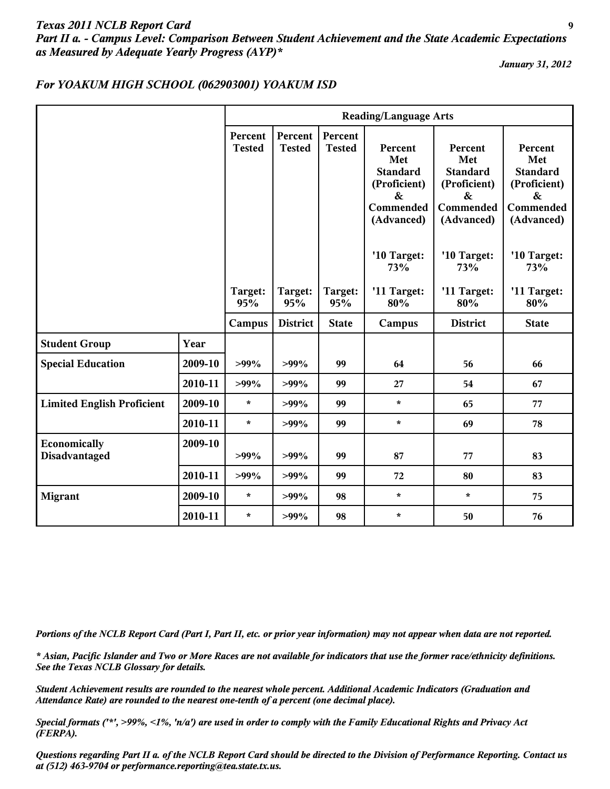# *Texas 2011 NCLB Report Card* **9** *Part II a. - Campus Level: Comparison Between Student Achievement and the State Academic Expectations as Measured by Adequate Yearly Progress (AYP)\**

*January 31, 2012*

### *For YOAKUM HIGH SCHOOL (062903001) YOAKUM ISD*

|                                   |         |                          |                          |                          | <b>Reading/Language Arts</b>                                                                      |                                                                                                   |                                                                                                   |
|-----------------------------------|---------|--------------------------|--------------------------|--------------------------|---------------------------------------------------------------------------------------------------|---------------------------------------------------------------------------------------------------|---------------------------------------------------------------------------------------------------|
|                                   |         | Percent<br><b>Tested</b> | Percent<br><b>Tested</b> | Percent<br><b>Tested</b> | Percent<br>Met<br><b>Standard</b><br>(Proficient)<br>$\boldsymbol{\&}$<br>Commended<br>(Advanced) | Percent<br>Met<br><b>Standard</b><br>(Proficient)<br>$\boldsymbol{\&}$<br>Commended<br>(Advanced) | Percent<br>Met<br><b>Standard</b><br>(Proficient)<br>$\boldsymbol{\&}$<br>Commended<br>(Advanced) |
|                                   |         | Target:                  | Target:                  | Target:                  | '10 Target:<br>73%<br>'11 Target:                                                                 | '10 Target:<br>73%<br>'11 Target:                                                                 | '10 Target:<br>73%<br>'11 Target:                                                                 |
|                                   |         | 95%                      | 95%                      | 95%                      | 80%                                                                                               | 80%                                                                                               | 80%                                                                                               |
|                                   |         | Campus                   | <b>District</b>          | <b>State</b>             | Campus                                                                                            | <b>District</b>                                                                                   | <b>State</b>                                                                                      |
| <b>Student Group</b>              | Year    |                          |                          |                          |                                                                                                   |                                                                                                   |                                                                                                   |
| <b>Special Education</b>          | 2009-10 | $>99\%$                  | $>99\%$                  | 99                       | 64                                                                                                | 56                                                                                                | 66                                                                                                |
|                                   | 2010-11 | $>99\%$                  | $>99\%$                  | 99                       | 27                                                                                                | 54                                                                                                | 67                                                                                                |
| <b>Limited English Proficient</b> | 2009-10 | $\star$                  | $>99\%$                  | 99                       | $\star$                                                                                           | 65                                                                                                | 77                                                                                                |
|                                   | 2010-11 | $\star$                  | $>99\%$                  | 99                       | $\star$                                                                                           | 69                                                                                                | 78                                                                                                |
| Economically<br>Disadvantaged     | 2009-10 | $>99\%$                  | $>99\%$                  | 99                       | 87                                                                                                | 77                                                                                                | 83                                                                                                |
|                                   | 2010-11 | $>99\%$                  | $>99\%$                  | 99                       | 72                                                                                                | 80                                                                                                | 83                                                                                                |
| <b>Migrant</b>                    | 2009-10 | $\star$                  | $>99\%$                  | 98                       | $\star$                                                                                           | $\pmb{\star}$                                                                                     | 75                                                                                                |
|                                   | 2010-11 | $\star$                  | $>99\%$                  | 98                       | $\star$                                                                                           | 50                                                                                                | 76                                                                                                |

*Portions of the NCLB Report Card (Part I, Part II, etc. or prior year information) may not appear when data are not reported.*

*\* Asian, Pacific Islander and Two or More Races are not available for indicators that use the former race/ethnicity definitions. See the Texas NCLB Glossary for details.*

*Student Achievement results are rounded to the nearest whole percent. Additional Academic Indicators (Graduation and Attendance Rate) are rounded to the nearest one-tenth of a percent (one decimal place).*

*Special formats ('\*', >99%, <1%, 'n/a') are used in order to comply with the Family Educational Rights and Privacy Act (FERPA).*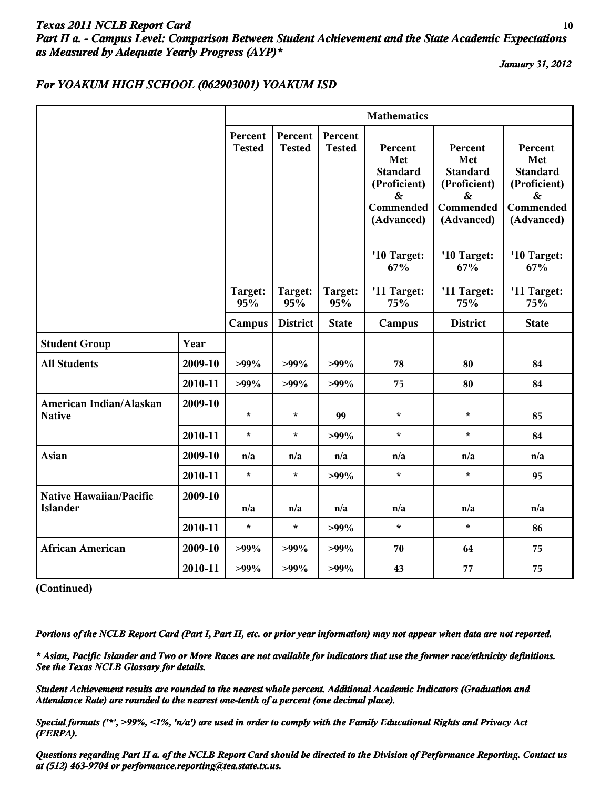# *Texas 2011 NCLB Report Card* **10** *Part II a. - Campus Level: Comparison Between Student Achievement and the State Academic Expectations as Measured by Adequate Yearly Progress (AYP)\**

*January 31, 2012*

## *For YOAKUM HIGH SCHOOL (062903001) YOAKUM ISD*

|                                                   |         |                          |                          |                          | <b>Mathematics</b>                                                                                |                                                                                   |                                                                                                   |
|---------------------------------------------------|---------|--------------------------|--------------------------|--------------------------|---------------------------------------------------------------------------------------------------|-----------------------------------------------------------------------------------|---------------------------------------------------------------------------------------------------|
|                                                   |         | Percent<br><b>Tested</b> | Percent<br><b>Tested</b> | Percent<br><b>Tested</b> | Percent<br>Met<br><b>Standard</b><br>(Proficient)<br>$\boldsymbol{\&}$<br>Commended<br>(Advanced) | Percent<br>Met<br><b>Standard</b><br>(Proficient)<br>&<br>Commended<br>(Advanced) | Percent<br>Met<br><b>Standard</b><br>(Proficient)<br>$\boldsymbol{\&}$<br>Commended<br>(Advanced) |
|                                                   |         |                          |                          |                          | '10 Target:<br>67%                                                                                | '10 Target:<br>67%                                                                | '10 Target:<br>67%                                                                                |
|                                                   |         | Target:<br>95%           | Target:<br>95%           | Target:<br>95%           | '11 Target:<br>75%                                                                                | '11 Target:<br>75%                                                                | '11 Target:<br>75%                                                                                |
|                                                   |         | Campus                   | <b>District</b>          | <b>State</b>             | Campus                                                                                            | <b>District</b>                                                                   | <b>State</b>                                                                                      |
| <b>Student Group</b>                              | Year    |                          |                          |                          |                                                                                                   |                                                                                   |                                                                                                   |
| <b>All Students</b>                               | 2009-10 | $>99\%$                  | $>99\%$                  | $>99\%$                  | 78                                                                                                | 80                                                                                | 84                                                                                                |
|                                                   | 2010-11 | $>99\%$                  | $>99\%$                  | $>99\%$                  | 75                                                                                                | 80                                                                                | 84                                                                                                |
| American Indian/Alaskan<br><b>Native</b>          | 2009-10 | $\star$                  | $\star$                  | 99                       | $\star$                                                                                           | $\star$                                                                           | 85                                                                                                |
|                                                   | 2010-11 | $\star$                  | $\star$                  | $>99\%$                  | $\star$                                                                                           | $\star$                                                                           | 84                                                                                                |
| <b>Asian</b>                                      | 2009-10 | n/a                      | n/a                      | n/a                      | n/a                                                                                               | n/a                                                                               | n/a                                                                                               |
|                                                   | 2010-11 | $\star$                  | $\star$                  | $>99\%$                  | $\star$                                                                                           | $\star$                                                                           | 95                                                                                                |
| <b>Native Hawaiian/Pacific</b><br><b>Islander</b> | 2009-10 | n/a                      | n/a                      | n/a                      | n/a                                                                                               | n/a                                                                               | n/a                                                                                               |
|                                                   | 2010-11 | $\star$                  | $\star$                  | $>99\%$                  | $\star$                                                                                           | $\star$                                                                           | 86                                                                                                |
| <b>African American</b>                           | 2009-10 | $>99\%$                  | $>99\%$                  | $>99\%$                  | 70                                                                                                | 64                                                                                | 75                                                                                                |
|                                                   | 2010-11 | $>99\%$                  | $>99\%$                  | $>99\%$                  | 43                                                                                                | 77                                                                                | 75                                                                                                |

**(Continued)**

*Portions of the NCLB Report Card (Part I, Part II, etc. or prior year information) may not appear when data are not reported.*

*\* Asian, Pacific Islander and Two or More Races are not available for indicators that use the former race/ethnicity definitions. See the Texas NCLB Glossary for details.*

*Student Achievement results are rounded to the nearest whole percent. Additional Academic Indicators (Graduation and Attendance Rate) are rounded to the nearest one-tenth of a percent (one decimal place).*

*Special formats ('\*', >99%, <1%, 'n/a') are used in order to comply with the Family Educational Rights and Privacy Act (FERPA).*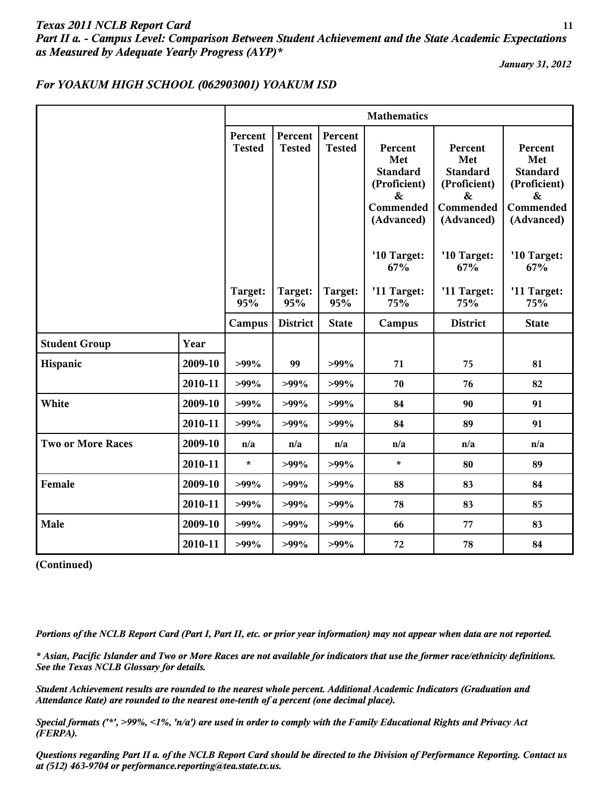# *Texas 2011 NCLB Report Card* **11** *Part II a. - Campus Level: Comparison Between Student Achievement and the State Academic Expectations as Measured by Adequate Yearly Progress (AYP)\**

*January 31, 2012*

## *For YOAKUM HIGH SCHOOL (062903001) YOAKUM ISD*

|                          |         |                          |                          |                          | <b>Mathematics</b>                                                                                |                                                                                   |                                                                                      |
|--------------------------|---------|--------------------------|--------------------------|--------------------------|---------------------------------------------------------------------------------------------------|-----------------------------------------------------------------------------------|--------------------------------------------------------------------------------------|
|                          |         | Percent<br><b>Tested</b> | Percent<br><b>Tested</b> | Percent<br><b>Tested</b> | Percent<br>Met<br><b>Standard</b><br>(Proficient)<br>$\boldsymbol{\&}$<br>Commended<br>(Advanced) | Percent<br>Met<br><b>Standard</b><br>(Proficient)<br>&<br>Commended<br>(Advanced) | Percent<br>Met<br><b>Standard</b><br>(Proficient)<br>$\&$<br>Commended<br>(Advanced) |
|                          |         |                          |                          |                          | '10 Target:<br>67%                                                                                | '10 Target:<br>67%                                                                | '10 Target:<br>67%                                                                   |
|                          |         | Target:<br>95%           | Target:<br>95%           | Target:<br>95%           | '11 Target:<br>75%                                                                                | '11 Target:<br>75%                                                                | '11 Target:<br>75%                                                                   |
|                          |         | Campus                   | <b>District</b>          | <b>State</b>             | Campus                                                                                            | <b>District</b>                                                                   | <b>State</b>                                                                         |
| <b>Student Group</b>     | Year    |                          |                          |                          |                                                                                                   |                                                                                   |                                                                                      |
| Hispanic                 | 2009-10 | $>99\%$                  | 99                       | $>99\%$                  | 71                                                                                                | 75                                                                                | 81                                                                                   |
|                          | 2010-11 | $>99\%$                  | $>99\%$                  | $>99\%$                  | 70                                                                                                | 76                                                                                | 82                                                                                   |
| White                    | 2009-10 | $>99\%$                  | $>99\%$                  | $>99\%$                  | 84                                                                                                | 90                                                                                | 91                                                                                   |
|                          | 2010-11 | $>99\%$                  | $>99\%$                  | $>99\%$                  | 84                                                                                                | 89                                                                                | 91                                                                                   |
| <b>Two or More Races</b> | 2009-10 | n/a                      | n/a                      | n/a                      | n/a                                                                                               | n/a                                                                               | n/a                                                                                  |
|                          | 2010-11 | $\star$                  | $>99\%$                  | $>99\%$                  | $\star$                                                                                           | 80                                                                                | 89                                                                                   |
| Female                   | 2009-10 | $>99\%$                  | $>99\%$                  | $>99\%$                  | 88                                                                                                | 83                                                                                | 84                                                                                   |
|                          | 2010-11 | $>99\%$                  | $>99\%$                  | $>99\%$                  | 78                                                                                                | 83                                                                                | 85                                                                                   |
| Male                     | 2009-10 | $>99\%$                  | $>99\%$                  | $>99\%$                  | 66                                                                                                | 77                                                                                | 83                                                                                   |
|                          | 2010-11 | $>99\%$                  | $>99\%$                  | $>99\%$                  | 72                                                                                                | 78                                                                                | 84                                                                                   |

**(Continued)**

*Portions of the NCLB Report Card (Part I, Part II, etc. or prior year information) may not appear when data are not reported.*

*\* Asian, Pacific Islander and Two or More Races are not available for indicators that use the former race/ethnicity definitions. See the Texas NCLB Glossary for details.*

*Student Achievement results are rounded to the nearest whole percent. Additional Academic Indicators (Graduation and Attendance Rate) are rounded to the nearest one-tenth of a percent (one decimal place).*

*Special formats ('\*', >99%, <1%, 'n/a') are used in order to comply with the Family Educational Rights and Privacy Act (FERPA).*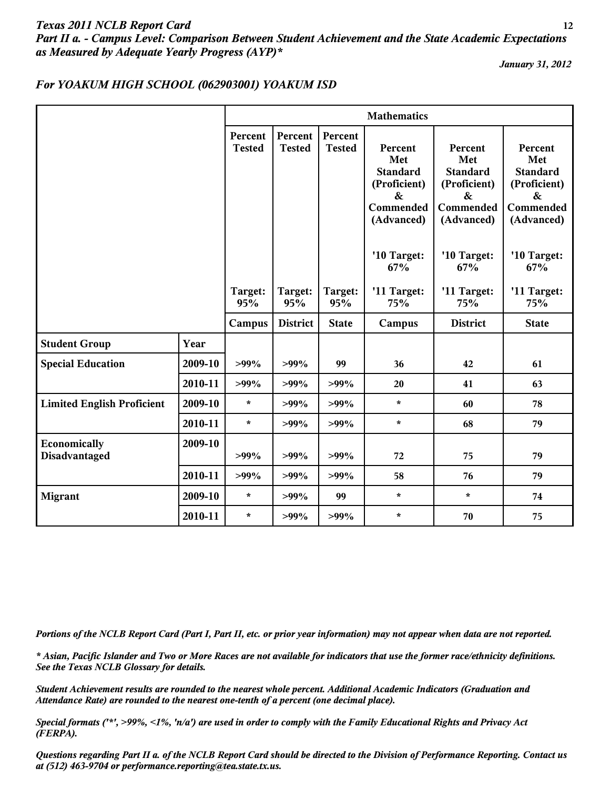# *Texas 2011 NCLB Report Card* **12** *Part II a. - Campus Level: Comparison Between Student Achievement and the State Academic Expectations as Measured by Adequate Yearly Progress (AYP)\**

*January 31, 2012*

## *For YOAKUM HIGH SCHOOL (062903001) YOAKUM ISD*

|                                   |         |                          |                          |                          | <b>Mathematics</b>                                                                                |                                                                                                   |                                                                                   |
|-----------------------------------|---------|--------------------------|--------------------------|--------------------------|---------------------------------------------------------------------------------------------------|---------------------------------------------------------------------------------------------------|-----------------------------------------------------------------------------------|
|                                   |         | Percent<br><b>Tested</b> | Percent<br><b>Tested</b> | Percent<br><b>Tested</b> | Percent<br>Met<br><b>Standard</b><br>(Proficient)<br>$\boldsymbol{\&}$<br>Commended<br>(Advanced) | Percent<br>Met<br><b>Standard</b><br>(Proficient)<br>$\boldsymbol{\&}$<br>Commended<br>(Advanced) | Percent<br>Met<br><b>Standard</b><br>(Proficient)<br>&<br>Commended<br>(Advanced) |
|                                   |         |                          |                          |                          | '10 Target:<br>67%                                                                                | '10 Target:<br>67%                                                                                | '10 Target:<br>67%                                                                |
|                                   |         | Target:<br>95%           | Target:<br>95%           | Target:<br>95%           | '11 Target:<br>75%                                                                                | '11 Target:<br>75%                                                                                | '11 Target:<br>75%                                                                |
|                                   |         | Campus                   | <b>District</b>          | <b>State</b>             | Campus                                                                                            | <b>District</b>                                                                                   | <b>State</b>                                                                      |
| <b>Student Group</b>              | Year    |                          |                          |                          |                                                                                                   |                                                                                                   |                                                                                   |
| <b>Special Education</b>          | 2009-10 | $>99\%$                  | $>99\%$                  | 99                       | 36                                                                                                | 42                                                                                                | 61                                                                                |
|                                   | 2010-11 | $>99\%$                  | $>99\%$                  | $>99\%$                  | 20                                                                                                | 41                                                                                                | 63                                                                                |
| <b>Limited English Proficient</b> | 2009-10 | $\star$                  | $>99\%$                  | $>99\%$                  | $\star$                                                                                           | 60                                                                                                | 78                                                                                |
|                                   | 2010-11 | $\star$                  | $>99\%$                  | $>99\%$                  | $\star$                                                                                           | 68                                                                                                | 79                                                                                |
| Economically<br>Disadvantaged     | 2009-10 | $>99\%$                  | $>99\%$                  | $>99\%$                  | 72                                                                                                | 75                                                                                                | 79                                                                                |
|                                   | 2010-11 | $>99\%$                  | $>99\%$                  | $>99\%$                  | 58                                                                                                | 76                                                                                                | 79                                                                                |
| <b>Migrant</b>                    | 2009-10 | $\star$                  | $>99\%$                  | 99                       | $\star$                                                                                           | $\star$                                                                                           | 74                                                                                |
|                                   | 2010-11 | $\star$                  | $>99\%$                  | $>99\%$                  | $\star$                                                                                           | 70                                                                                                | 75                                                                                |

*Portions of the NCLB Report Card (Part I, Part II, etc. or prior year information) may not appear when data are not reported.*

*\* Asian, Pacific Islander and Two or More Races are not available for indicators that use the former race/ethnicity definitions. See the Texas NCLB Glossary for details.*

*Student Achievement results are rounded to the nearest whole percent. Additional Academic Indicators (Graduation and Attendance Rate) are rounded to the nearest one-tenth of a percent (one decimal place).*

*Special formats ('\*', >99%, <1%, 'n/a') are used in order to comply with the Family Educational Rights and Privacy Act (FERPA).*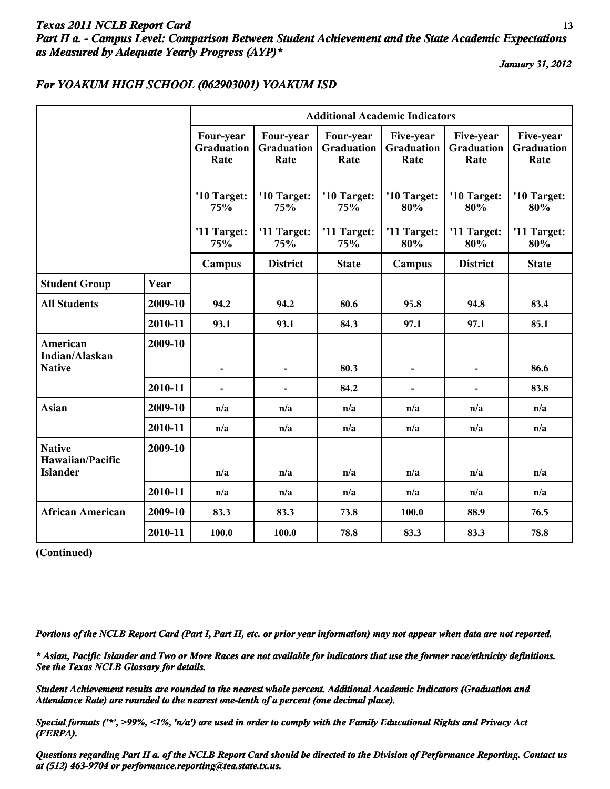# *Texas 2011 NCLB Report Card* **13** *Part II a. - Campus Level: Comparison Between Student Achievement and the State Academic Expectations as Measured by Adequate Yearly Progress (AYP)\**

*January 31, 2012*

|                                   |         | <b>Additional Academic Indicators</b> |                                 |                                        |                                 |                                        |                                 |
|-----------------------------------|---------|---------------------------------------|---------------------------------|----------------------------------------|---------------------------------|----------------------------------------|---------------------------------|
|                                   |         | Four-year<br>Graduation<br>Rate       | Four-year<br>Graduation<br>Rate | Four-year<br><b>Graduation</b><br>Rate | Five-year<br>Graduation<br>Rate | Five-year<br><b>Graduation</b><br>Rate | Five-year<br>Graduation<br>Rate |
|                                   |         | '10 Target:<br>75%                    | '10 Target:<br>75%              | '10 Target:<br>75%                     | '10 Target:<br>80%              | '10 Target:<br>80%                     | '10 Target:<br>80%              |
|                                   |         | '11 Target:<br>75%                    | '11 Target:<br>75%              | '11 Target:<br>75%                     | '11 Target:<br>80%              | '11 Target:<br>80%                     | '11 Target:<br>80%              |
|                                   |         | Campus                                | <b>District</b>                 | <b>State</b>                           | Campus                          | <b>District</b>                        | <b>State</b>                    |
| <b>Student Group</b>              | Year    |                                       |                                 |                                        |                                 |                                        |                                 |
| <b>All Students</b>               | 2009-10 | 94.2                                  | 94.2                            | 80.6                                   | 95.8                            | 94.8                                   | 83.4                            |
|                                   | 2010-11 | 93.1                                  | 93.1                            | 84.3                                   | 97.1                            | 97.1                                   | 85.1                            |
| American                          | 2009-10 |                                       |                                 |                                        |                                 |                                        |                                 |
| Indian/Alaskan<br><b>Native</b>   |         |                                       | $\blacksquare$                  | 80.3                                   | $\overline{\phantom{m}}$        |                                        | 86.6                            |
|                                   | 2010-11 | $\blacksquare$                        | $\overline{\phantom{a}}$        | 84.2                                   | $\overline{\phantom{a}}$        |                                        | 83.8                            |
| <b>Asian</b>                      | 2009-10 | n/a                                   | n/a                             | n/a                                    | n/a                             | n/a                                    | n/a                             |
|                                   | 2010-11 | n/a                                   | n/a                             | n/a                                    | n/a                             | n/a                                    | n/a                             |
| <b>Native</b><br>Hawaiian/Pacific | 2009-10 |                                       |                                 |                                        |                                 |                                        |                                 |
| <b>Islander</b>                   |         | n/a                                   | n/a                             | n/a                                    | n/a                             | n/a                                    | n/a                             |
|                                   | 2010-11 | n/a                                   | n/a                             | n/a                                    | n/a                             | n/a                                    | n/a                             |
| <b>African American</b>           | 2009-10 | 83.3                                  | 83.3                            | 73.8                                   | 100.0                           | 88.9                                   | 76.5                            |
|                                   | 2010-11 | 100.0                                 | 100.0                           | 78.8                                   | 83.3                            | 83.3                                   | 78.8                            |

## *For YOAKUM HIGH SCHOOL (062903001) YOAKUM ISD*

**(Continued)**

*Portions of the NCLB Report Card (Part I, Part II, etc. or prior year information) may not appear when data are not reported.*

*\* Asian, Pacific Islander and Two or More Races are not available for indicators that use the former race/ethnicity definitions. See the Texas NCLB Glossary for details.*

*Student Achievement results are rounded to the nearest whole percent. Additional Academic Indicators (Graduation and Attendance Rate) are rounded to the nearest one-tenth of a percent (one decimal place).*

*Special formats ('\*', >99%, <1%, 'n/a') are used in order to comply with the Family Educational Rights and Privacy Act (FERPA).*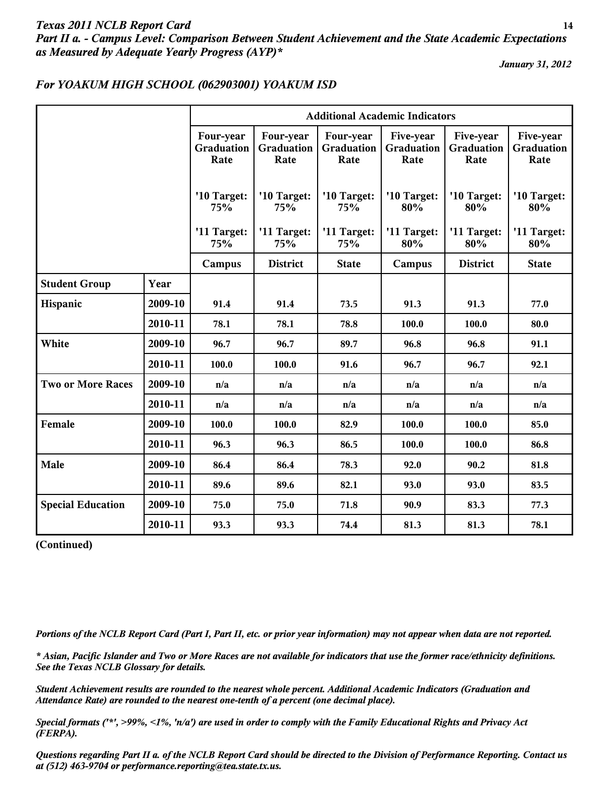# *Texas 2011 NCLB Report Card* **14** *Part II a. - Campus Level: Comparison Between Student Achievement and the State Academic Expectations as Measured by Adequate Yearly Progress (AYP)\**

*January 31, 2012*

|                          |         | <b>Additional Academic Indicators</b>  |                                 |                                        |                                 |                                        |                                 |
|--------------------------|---------|----------------------------------------|---------------------------------|----------------------------------------|---------------------------------|----------------------------------------|---------------------------------|
|                          |         | Four-year<br><b>Graduation</b><br>Rate | Four-year<br>Graduation<br>Rate | Four-year<br><b>Graduation</b><br>Rate | Five-year<br>Graduation<br>Rate | Five-year<br><b>Graduation</b><br>Rate | Five-year<br>Graduation<br>Rate |
|                          |         | '10 Target:<br>75%                     | '10 Target:<br>75%              | '10 Target:<br>75%                     | '10 Target:<br>80%              | '10 Target:<br>80%                     | '10 Target:<br>80%              |
|                          |         | '11 Target:<br>75%                     | '11 Target:<br>75%              | '11 Target:<br>75%                     | '11 Target:<br>80%              | '11 Target:<br>80%                     | '11 Target:<br>80%              |
|                          |         | Campus                                 | <b>District</b>                 | <b>State</b>                           | Campus                          | <b>District</b>                        | <b>State</b>                    |
| <b>Student Group</b>     | Year    |                                        |                                 |                                        |                                 |                                        |                                 |
| Hispanic                 | 2009-10 | 91.4                                   | 91.4                            | 73.5                                   | 91.3                            | 91.3                                   | 77.0                            |
|                          | 2010-11 | 78.1                                   | 78.1                            | 78.8                                   | 100.0                           | 100.0                                  | 80.0                            |
| White                    | 2009-10 | 96.7                                   | 96.7                            | 89.7                                   | 96.8                            | 96.8                                   | 91.1                            |
|                          | 2010-11 | 100.0                                  | 100.0                           | 91.6                                   | 96.7                            | 96.7                                   | 92.1                            |
| <b>Two or More Races</b> | 2009-10 | n/a                                    | n/a                             | n/a                                    | n/a                             | n/a                                    | n/a                             |
|                          | 2010-11 | n/a                                    | n/a                             | n/a                                    | n/a                             | n/a                                    | n/a                             |
| Female                   | 2009-10 | 100.0                                  | 100.0                           | 82.9                                   | 100.0                           | 100.0                                  | 85.0                            |
|                          | 2010-11 | 96.3                                   | 96.3                            | 86.5                                   | 100.0                           | 100.0                                  | 86.8                            |
| Male                     | 2009-10 | 86.4                                   | 86.4                            | 78.3                                   | 92.0                            | 90.2                                   | 81.8                            |
|                          | 2010-11 | 89.6                                   | 89.6                            | 82.1                                   | 93.0                            | 93.0                                   | 83.5                            |
| <b>Special Education</b> | 2009-10 | 75.0                                   | 75.0                            | 71.8                                   | 90.9                            | 83.3                                   | 77.3                            |
|                          | 2010-11 | 93.3                                   | 93.3                            | 74.4                                   | 81.3                            | 81.3                                   | 78.1                            |

## *For YOAKUM HIGH SCHOOL (062903001) YOAKUM ISD*

**(Continued)**

*Portions of the NCLB Report Card (Part I, Part II, etc. or prior year information) may not appear when data are not reported.*

*\* Asian, Pacific Islander and Two or More Races are not available for indicators that use the former race/ethnicity definitions. See the Texas NCLB Glossary for details.*

*Student Achievement results are rounded to the nearest whole percent. Additional Academic Indicators (Graduation and Attendance Rate) are rounded to the nearest one-tenth of a percent (one decimal place).*

*Special formats ('\*', >99%, <1%, 'n/a') are used in order to comply with the Family Educational Rights and Privacy Act (FERPA).*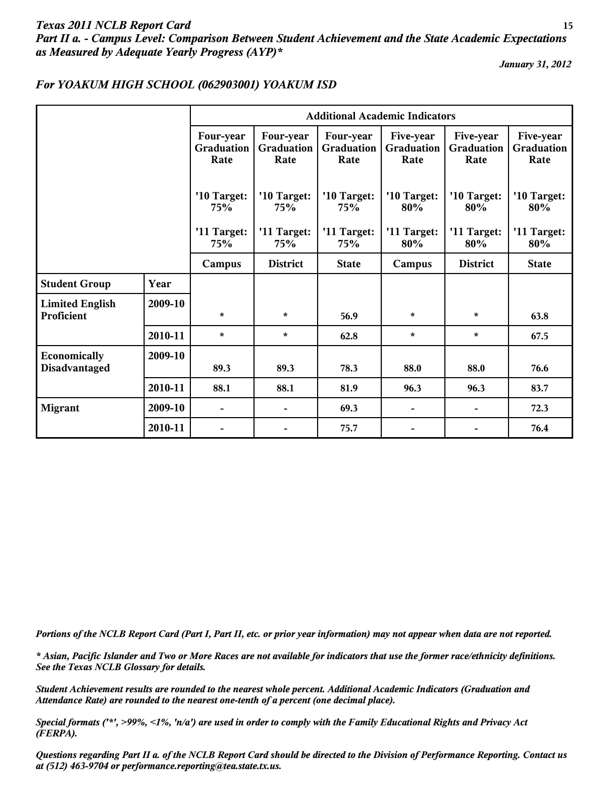# *Texas 2011 NCLB Report Card* **15** *Part II a. - Campus Level: Comparison Between Student Achievement and the State Academic Expectations as Measured by Adequate Yearly Progress (AYP)\**

*January 31, 2012*

|                                      |         | <b>Additional Academic Indicators</b> |                                        |                                 |                                        |                                 |                                 |
|--------------------------------------|---------|---------------------------------------|----------------------------------------|---------------------------------|----------------------------------------|---------------------------------|---------------------------------|
|                                      |         | Four-year<br>Graduation<br>Rate       | Four-year<br><b>Graduation</b><br>Rate | Four-year<br>Graduation<br>Rate | Five-year<br><b>Graduation</b><br>Rate | Five-year<br>Graduation<br>Rate | Five-year<br>Graduation<br>Rate |
|                                      |         | '10 Target:<br>75%                    | '10 Target:<br><b>75%</b>              | '10 Target:<br>75%              | '10 Target:<br>80%                     | '10 Target:<br>80%              | '10 Target:<br>80%              |
|                                      |         | '11 Target:<br>75%                    | '11 Target:<br>75%                     | '11 Target:<br>75%              | '11 Target:<br>80%                     | '11 Target:<br>80%              | '11 Target:<br>80%              |
|                                      |         | Campus                                | <b>District</b>                        | <b>State</b>                    | Campus                                 | <b>District</b>                 | <b>State</b>                    |
| <b>Student Group</b>                 | Year    |                                       |                                        |                                 |                                        |                                 |                                 |
| <b>Limited English</b><br>Proficient | 2009-10 | $\star$                               | $\star$                                | 56.9                            | $\star$                                | $\star$                         | 63.8                            |
|                                      | 2010-11 | $\star$                               | $\star$                                | 62.8                            | $\star$                                | $\star$                         | 67.5                            |
| Economically<br>Disadvantaged        | 2009-10 | 89.3                                  | 89.3                                   | 78.3                            | 88.0                                   | 88.0                            | 76.6                            |
|                                      | 2010-11 | 88.1                                  | 88.1                                   | 81.9                            | 96.3                                   | 96.3                            | 83.7                            |
| <b>Migrant</b>                       | 2009-10 | $\overline{\phantom{a}}$              | $\overline{\phantom{a}}$               | 69.3                            | $\overline{\phantom{a}}$               |                                 | 72.3                            |
|                                      | 2010-11 |                                       |                                        | 75.7                            | $\overline{\phantom{a}}$               |                                 | 76.4                            |

### *For YOAKUM HIGH SCHOOL (062903001) YOAKUM ISD*

*Portions of the NCLB Report Card (Part I, Part II, etc. or prior year information) may not appear when data are not reported.*

*\* Asian, Pacific Islander and Two or More Races are not available for indicators that use the former race/ethnicity definitions. See the Texas NCLB Glossary for details.*

*Student Achievement results are rounded to the nearest whole percent. Additional Academic Indicators (Graduation and Attendance Rate) are rounded to the nearest one-tenth of a percent (one decimal place).*

*Special formats ('\*', >99%, <1%, 'n/a') are used in order to comply with the Family Educational Rights and Privacy Act (FERPA).*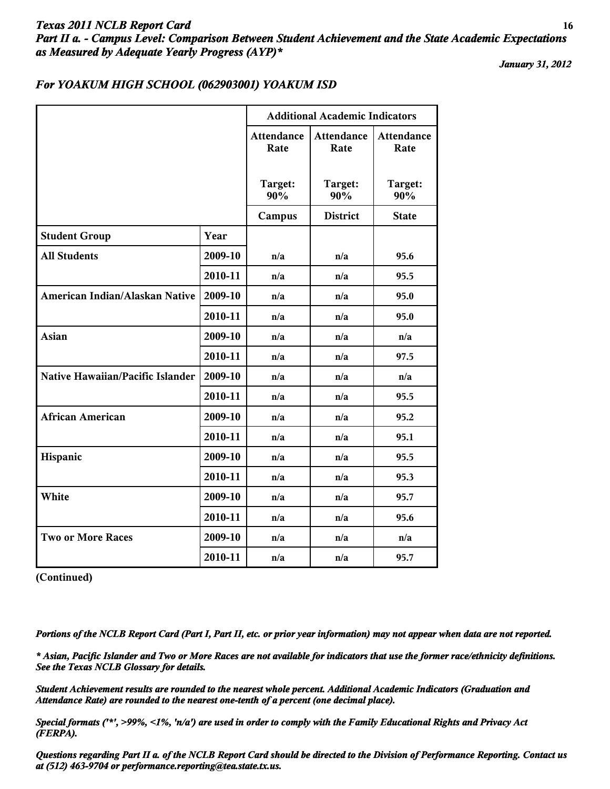# *Texas 2011 NCLB Report Card* **16** *Part II a. - Campus Level: Comparison Between Student Achievement and the State Academic Expectations as Measured by Adequate Yearly Progress (AYP)\**

*January 31, 2012*

#### *For YOAKUM HIGH SCHOOL (062903001) YOAKUM ISD*

|                                         |         | <b>Additional Academic Indicators</b> |                           |                    |  |
|-----------------------------------------|---------|---------------------------------------|---------------------------|--------------------|--|
|                                         |         | <b>Attendance</b><br>Rate             | <b>Attendance</b><br>Rate | Attendance<br>Rate |  |
|                                         |         | Target:<br>90%                        | Target:<br>90%            | Target:<br>90%     |  |
|                                         |         | Campus                                | <b>District</b>           | <b>State</b>       |  |
| <b>Student Group</b>                    | Year    |                                       |                           |                    |  |
| <b>All Students</b>                     | 2009-10 | n/a                                   | n/a                       | 95.6               |  |
|                                         | 2010-11 | n/a                                   | n/a                       | 95.5               |  |
| American Indian/Alaskan Native          | 2009-10 | n/a                                   | n/a                       | 95.0               |  |
|                                         | 2010-11 | n/a                                   | n/a                       | 95.0               |  |
| <b>Asian</b>                            | 2009-10 | n/a                                   | n/a                       | n/a                |  |
|                                         | 2010-11 | n/a                                   | n/a                       | 97.5               |  |
| <b>Native Hawaiian/Pacific Islander</b> | 2009-10 | n/a                                   | n/a                       | n/a                |  |
|                                         | 2010-11 | n/a                                   | n/a                       | 95.5               |  |
| <b>African American</b>                 | 2009-10 | n/a                                   | n/a                       | 95.2               |  |
|                                         | 2010-11 | n/a                                   | n/a                       | 95.1               |  |
| Hispanic                                | 2009-10 | n/a                                   | n/a                       | 95.5               |  |
|                                         | 2010-11 | n/a                                   | n/a                       | 95.3               |  |
| White                                   | 2009-10 | n/a                                   | n/a                       | 95.7               |  |
|                                         | 2010-11 | n/a                                   | n/a                       | 95.6               |  |
| <b>Two or More Races</b>                | 2009-10 | n/a                                   | n/a                       | n/a                |  |
|                                         | 2010-11 | n/a                                   | n/a                       | 95.7               |  |

**(Continued)**

*Portions of the NCLB Report Card (Part I, Part II, etc. or prior year information) may not appear when data are not reported.*

*\* Asian, Pacific Islander and Two or More Races are not available for indicators that use the former race/ethnicity definitions. See the Texas NCLB Glossary for details.*

*Student Achievement results are rounded to the nearest whole percent. Additional Academic Indicators (Graduation and Attendance Rate) are rounded to the nearest one-tenth of a percent (one decimal place).*

*Special formats ('\*', >99%, <1%, 'n/a') are used in order to comply with the Family Educational Rights and Privacy Act (FERPA).*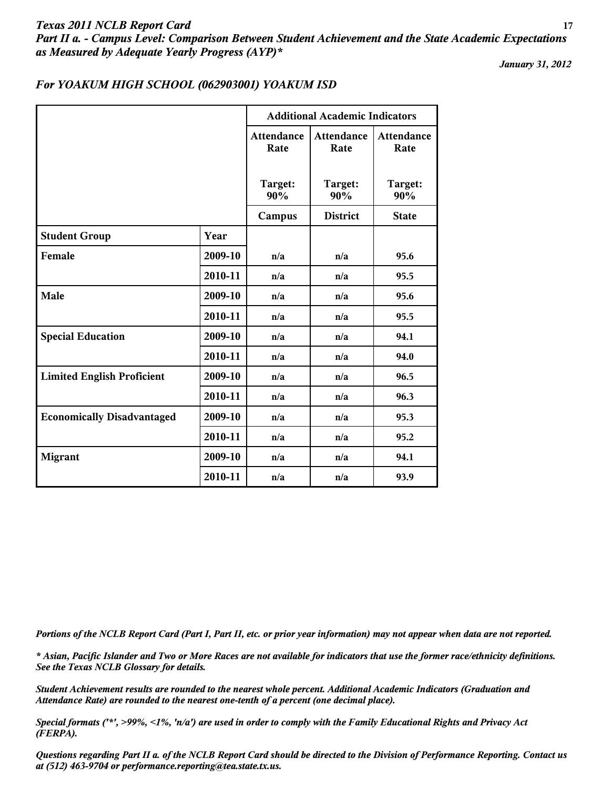# *Texas 2011 NCLB Report Card* **17** *Part II a. - Campus Level: Comparison Between Student Achievement and the State Academic Expectations as Measured by Adequate Yearly Progress (AYP)\**

*January 31, 2012*

#### *For YOAKUM HIGH SCHOOL (062903001) YOAKUM ISD*

|                                   |         |                           | <b>Additional Academic Indicators</b> |                           |  |  |
|-----------------------------------|---------|---------------------------|---------------------------------------|---------------------------|--|--|
|                                   |         | <b>Attendance</b><br>Rate | <b>Attendance</b><br>Rate             | <b>Attendance</b><br>Rate |  |  |
|                                   |         | Target:<br>90%            | Target:<br>90%                        | Target:<br>90%            |  |  |
|                                   |         | Campus                    | <b>District</b>                       | <b>State</b>              |  |  |
| <b>Student Group</b>              | Year    |                           |                                       |                           |  |  |
| Female                            | 2009-10 | n/a                       | n/a                                   | 95.6                      |  |  |
|                                   | 2010-11 | n/a                       | n/a                                   | 95.5                      |  |  |
| Male                              | 2009-10 | n/a                       | n/a                                   | 95.6                      |  |  |
|                                   | 2010-11 | n/a                       | n/a                                   | 95.5                      |  |  |
| <b>Special Education</b>          | 2009-10 | n/a                       | n/a                                   | 94.1                      |  |  |
|                                   | 2010-11 | n/a                       | n/a                                   | 94.0                      |  |  |
| <b>Limited English Proficient</b> | 2009-10 | n/a                       | n/a                                   | 96.5                      |  |  |
|                                   | 2010-11 | n/a                       | n/a                                   | 96.3                      |  |  |
| <b>Economically Disadvantaged</b> | 2009-10 | n/a                       | n/a                                   | 95.3                      |  |  |
|                                   | 2010-11 | n/a                       | n/a                                   | 95.2                      |  |  |
| <b>Migrant</b>                    | 2009-10 | n/a                       | n/a                                   | 94.1                      |  |  |
|                                   | 2010-11 | n/a                       | n/a                                   | 93.9                      |  |  |

*Portions of the NCLB Report Card (Part I, Part II, etc. or prior year information) may not appear when data are not reported.*

*\* Asian, Pacific Islander and Two or More Races are not available for indicators that use the former race/ethnicity definitions. See the Texas NCLB Glossary for details.*

*Student Achievement results are rounded to the nearest whole percent. Additional Academic Indicators (Graduation and Attendance Rate) are rounded to the nearest one-tenth of a percent (one decimal place).*

*Special formats ('\*', >99%, <1%, 'n/a') are used in order to comply with the Family Educational Rights and Privacy Act (FERPA).*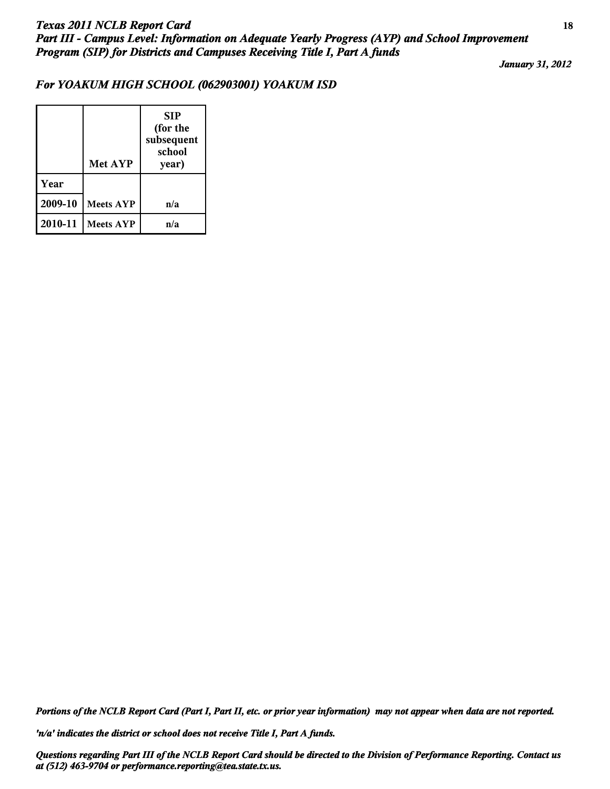# *For YOAKUM HIGH SCHOOL (062903001) YOAKUM ISD*

|         | Met AYP          | <b>SIP</b><br>(for the<br>subsequent<br>school<br>year) |
|---------|------------------|---------------------------------------------------------|
| Year    |                  |                                                         |
| 2009-10 | <b>Meets AYP</b> | n/a                                                     |
| 2010-11 | <b>Meets AYP</b> | n/a                                                     |

*Portions of the NCLB Report Card (Part I, Part II, etc. or prior year information) may not appear when data are not reported.*

*'n/a' indicates the district or school does not receive Title I, Part A funds.*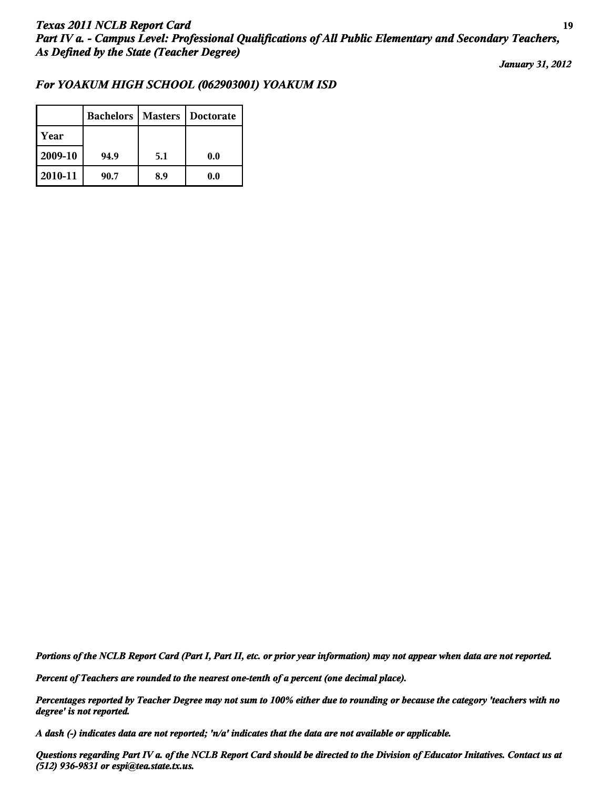### *For YOAKUM HIGH SCHOOL (062903001) YOAKUM ISD*

|         | <b>Bachelors</b> | <b>Masters</b> | Doctorate |
|---------|------------------|----------------|-----------|
| Year    |                  |                |           |
| 2009-10 | 94.9             | 5.1            | 0.0       |
| 2010-11 | 90.7             | 8.9            | 0.0       |

*Portions of the NCLB Report Card (Part I, Part II, etc. or prior year information) may not appear when data are not reported.*

*Percent of Teachers are rounded to the nearest one-tenth of a percent (one decimal place).*

*Percentages reported by Teacher Degree may not sum to 100% either due to rounding or because the category 'teachers with no degree' is not reported.*

*A dash (-) indicates data are not reported; 'n/a' indicates that the data are not available or applicable.*

*Questions regarding Part IV a. of the NCLB Report Card should be directed to the Division of Educator Initatives. Contact us at (512) 936-9831 or espi@tea.state.tx.us.*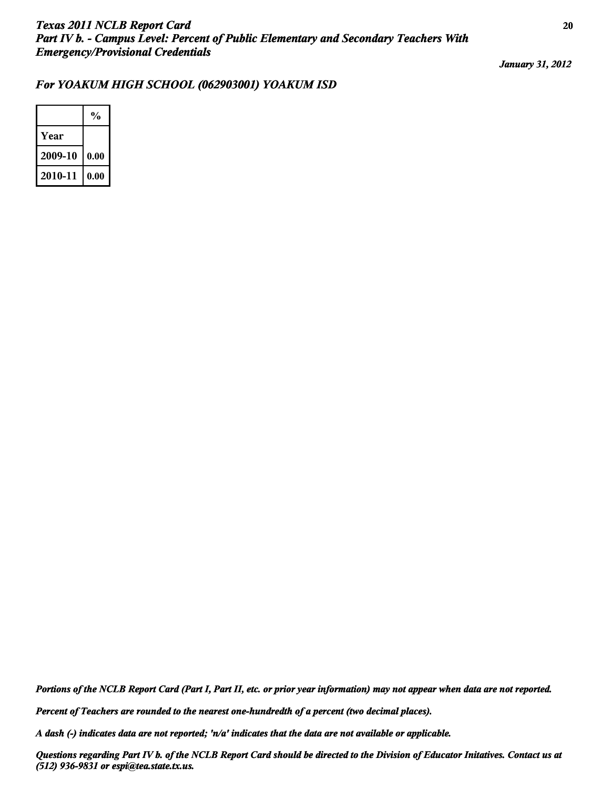### *For YOAKUM HIGH SCHOOL (062903001) YOAKUM ISD*

|         | $\frac{0}{0}$ |
|---------|---------------|
| Year    |               |
| 2009-10 | 0.00          |
| 2010-11 | 0.00          |

*Portions of the NCLB Report Card (Part I, Part II, etc. or prior year information) may not appear when data are not reported.*

*Percent of Teachers are rounded to the nearest one-hundredth of a percent (two decimal places).*

*A dash (-) indicates data are not reported; 'n/a' indicates that the data are not available or applicable.*

*Questions regarding Part IV b. of the NCLB Report Card should be directed to the Division of Educator Initatives. Contact us at (512) 936-9831 or espi@tea.state.tx.us.*